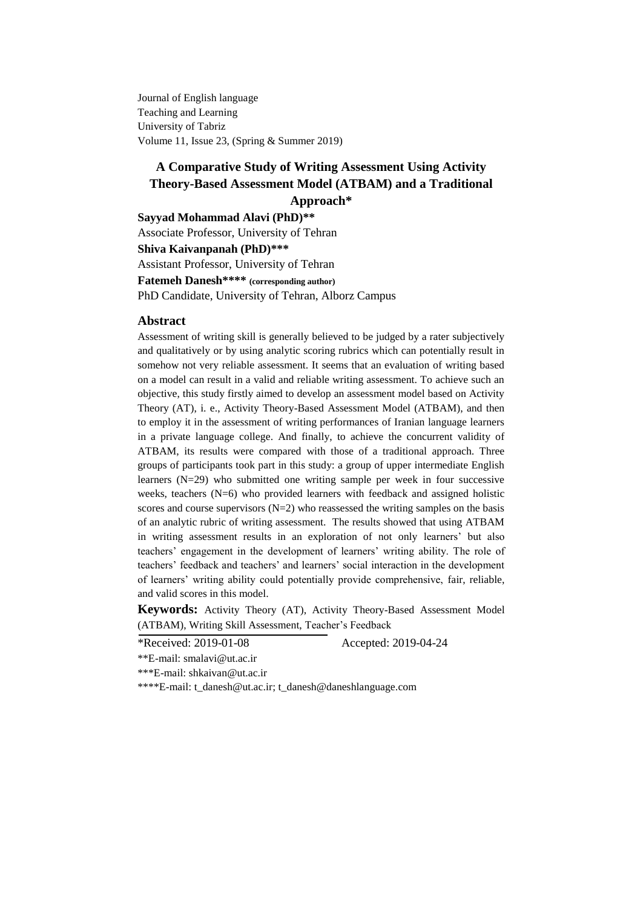Journal of English language Teaching and Learning University of Tabriz Volume 11, Issue 23, (Spring & Summer 2019)

# **A Comparative Study of Writing Assessment Using Activity Theory-Based Assessment Model (ATBAM) and a Traditional Approach\***

#### **Sayyad Mohammad Alavi (PhD)\*\***

Associate Professor, University of Tehran **Shiva Kaivanpanah (PhD)\*\*\*** Assistant Professor, University of Tehran **Fatemeh Danesh\*\*\*\* (corresponding author)** PhD Candidate, University of Tehran, Alborz Campus

#### **Abstract**

Assessment of writing skill is generally believed to be judged by a rater subjectively and qualitatively or by using analytic scoring rubrics which can potentially result in somehow not very reliable assessment. It seems that an evaluation of writing based on a model can result in a valid and reliable writing assessment. To achieve such an objective, this study firstly aimed to develop an assessment model based on Activity Theory (AT), i. e., Activity Theory-Based Assessment Model (ATBAM), and then to employ it in the assessment of writing performances of Iranian language learners in a private language college. And finally, to achieve the concurrent validity of ATBAM, its results were compared with those of a traditional approach. Three groups of participants took part in this study: a group of upper intermediate English learners (N=29) who submitted one writing sample per week in four successive weeks, teachers  $(N=6)$  who provided learners with feedback and assigned holistic scores and course supervisors  $(N=2)$  who reassessed the writing samples on the basis of an analytic rubric of writing assessment. The results showed that using ATBAM in writing assessment results in an exploration of not only learners' but also teachers' engagement in the development of learners' writing ability. The role of teachers' feedback and teachers' and learners' social interaction in the development of learners' writing ability could potentially provide comprehensive, fair, reliable, and valid scores in this model.

**Keywords:** Activity Theory (AT), Activity Theory-Based Assessment Model (ATBAM), Writing Skill Assessment, Teacher's Feedback

\*Received: 2019-01-08 Accepted: 2019-04-24 \*\*E-mail: [smalavi@ut.ac.ir](mailto:smalavi@ut.ac.ir)

\*\*\*E-mail: [shkaivan@ut.ac.ir](mailto:shkaivan@ut.ac.ir)

\*\*\*\*E-mail: [t\\_danesh@ut.ac.ir;](mailto:t_danesh@ut.ac.ir) t\_danesh@daneshlanguage.com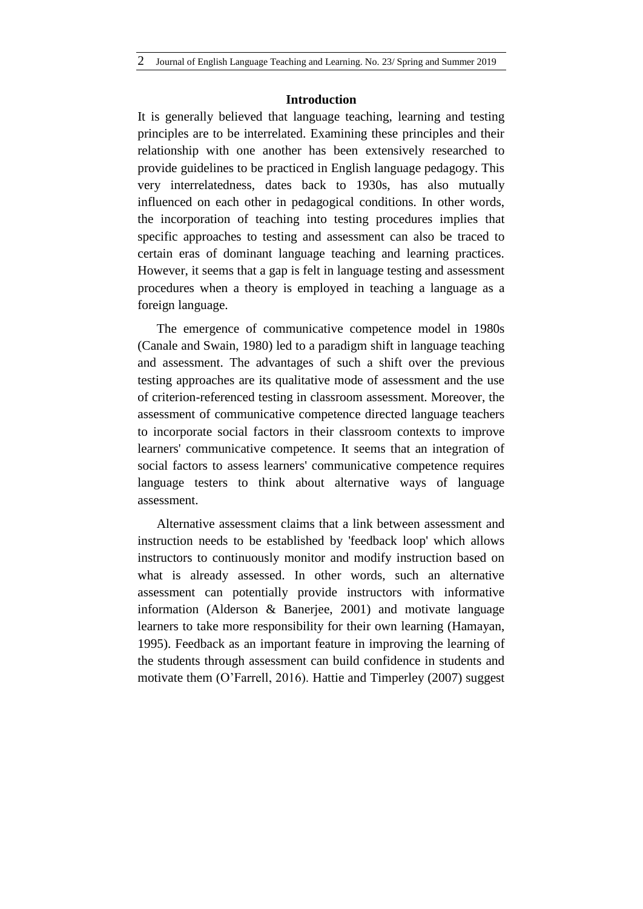#### **Introduction**

It is generally believed that language teaching, learning and testing principles are to be interrelated. Examining these principles and their relationship with one another has been extensively researched to provide guidelines to be practiced in English language pedagogy. This very interrelatedness, dates back to 1930s, has also mutually influenced on each other in pedagogical conditions. In other words, the incorporation of teaching into testing procedures implies that specific approaches to testing and assessment can also be traced to certain eras of dominant language teaching and learning practices. However, it seems that a gap is felt in language testing and assessment procedures when a theory is employed in teaching a language as a foreign language.

The emergence of communicative competence model in 1980s (Canale and Swain, 1980) led to a paradigm shift in language teaching and assessment. The advantages of such a shift over the previous testing approaches are its qualitative mode of assessment and the use of criterion-referenced testing in classroom assessment. Moreover, the assessment of communicative competence directed language teachers to incorporate social factors in their classroom contexts to improve learners' communicative competence. It seems that an integration of social factors to assess learners' communicative competence requires language testers to think about alternative ways of language assessment.

Alternative assessment claims that a link between assessment and instruction needs to be established by 'feedback loop' which allows instructors to continuously monitor and modify instruction based on what is already assessed. In other words, such an alternative assessment can potentially provide instructors with informative information (Alderson & Banerjee, 2001) and motivate language learners to take more responsibility for their own learning (Hamayan, 1995). Feedback as an important feature in improving the learning of the students through assessment can build confidence in students and motivate them (O'Farrell, 2016). Hattie and Timperley (2007) suggest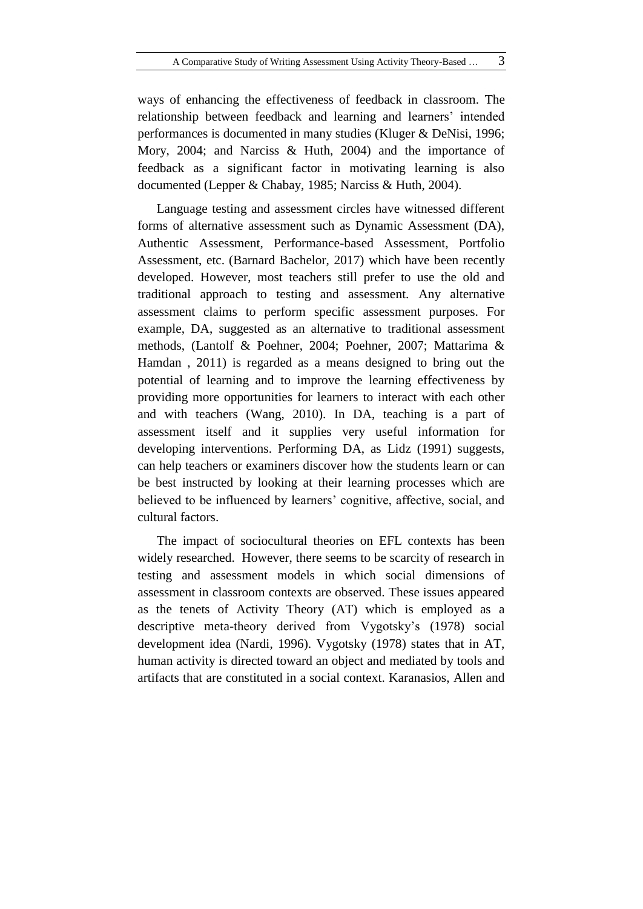ways of enhancing the effectiveness of feedback in classroom. The relationship between feedback and learning and learners' intended performances is documented in many studies (Kluger & DeNisi, 1996; Mory, 2004; and Narciss & Huth, 2004) and the importance of feedback as a significant factor in motivating learning is also documented (Lepper & Chabay, 1985; Narciss & Huth, 2004).

Language testing and assessment circles have witnessed different forms of alternative assessment such as Dynamic Assessment (DA), Authentic Assessment, Performance-based Assessment, Portfolio Assessment, etc. (Barnard Bachelor, 2017) which have been recently developed. However, most teachers still prefer to use the old and traditional approach to testing and assessment. Any alternative assessment claims to perform specific assessment purposes. For example, DA, suggested as an alternative to traditional assessment methods, (Lantolf & Poehner, 2004; Poehner, 2007; Mattarima & Hamdan , 2011) is regarded as a means designed to bring out the potential of learning and to improve the learning effectiveness by providing more opportunities for learners to interact with each other and with teachers (Wang, 2010). In DA, teaching is a part of assessment itself and it supplies very useful information for developing interventions. Performing DA, as Lidz (1991) suggests, can help teachers or examiners discover how the students learn or can be best instructed by looking at their learning processes which are believed to be influenced by learners' cognitive, affective, social, and cultural factors.

The impact of sociocultural theories on EFL contexts has been widely researched. However, there seems to be scarcity of research in testing and assessment models in which social dimensions of assessment in classroom contexts are observed. These issues appeared as the tenets of Activity Theory (AT) which is employed as a descriptive meta-theory derived from Vygotsky's (1978) social development idea (Nardi, 1996). Vygotsky (1978) states that in AT, human activity is directed toward an object and mediated by tools and artifacts that are constituted in a social context. Karanasios, Allen and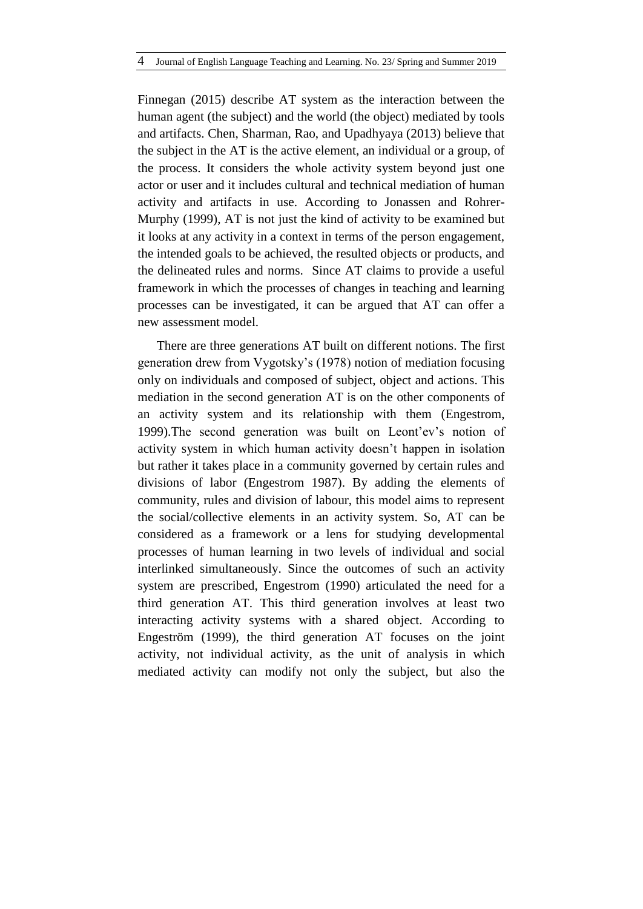Finnegan (2015) describe AT system as the interaction between the human agent (the subject) and the world (the object) mediated by tools and artifacts. Chen, Sharman, Rao, and Upadhyaya (2013) believe that the subject in the AT is the active element, an individual or a group, of the process. It considers the whole activity system beyond just one actor or user and it includes cultural and technical mediation of human activity and artifacts in use. According to Jonassen and Rohrer-Murphy (1999), AT is not just the kind of activity to be examined but it looks at any activity in a context in terms of the person engagement, the intended goals to be achieved, the resulted objects or products, and the delineated rules and norms. Since AT claims to provide a useful framework in which the processes of changes in teaching and learning processes can be investigated, it can be argued that AT can offer a new assessment model.

There are three generations AT built on different notions. The first generation drew from Vygotsky's (1978) notion of mediation focusing only on individuals and composed of subject, object and actions. This mediation in the second generation AT is on the other components of an activity system and its relationship with them (Engestrom, 1999).The second generation was built on Leont'ev's notion of activity system in which human activity doesn't happen in isolation but rather it takes place in a community governed by certain rules and divisions of labor (Engestrom 1987). By adding the elements of community, rules and division of labour, this model aims to represent the social/collective elements in an activity system. So, AT can be considered as a framework or a lens for studying developmental processes of human learning in two levels of individual and social interlinked simultaneously. Since the outcomes of such an activity system are prescribed, Engestrom (1990) articulated the need for a third generation AT. This third generation involves at least two interacting activity systems with a shared object. According to Engeström (1999), the third generation AT focuses on the joint activity, not individual activity, as the unit of analysis in which mediated activity can modify not only the subject, but also the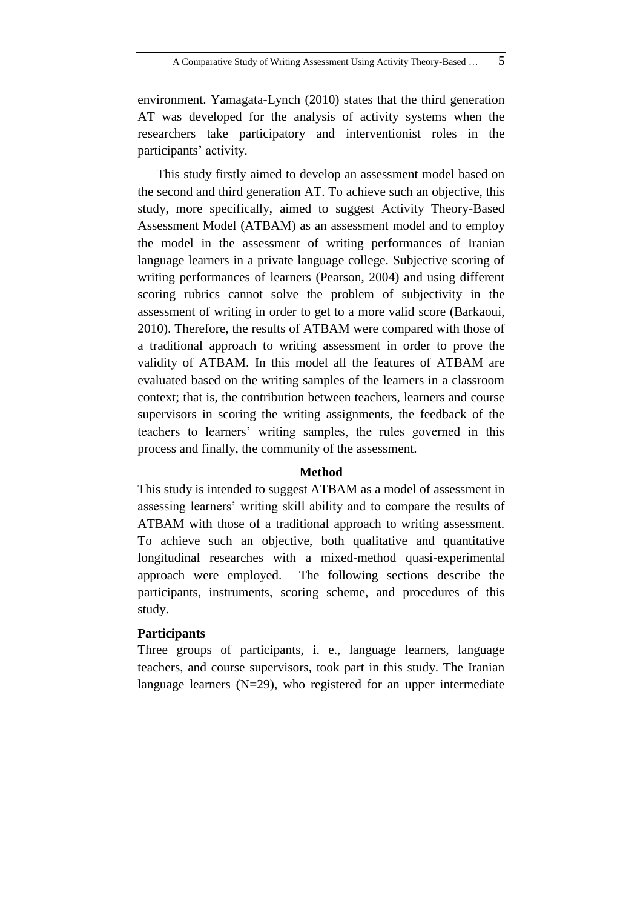environment. Yamagata-Lynch (2010) states that the third generation AT was developed for the analysis of activity systems when the researchers take participatory and interventionist roles in the participants' activity.

This study firstly aimed to develop an assessment model based on the second and third generation AT. To achieve such an objective, this study, more specifically, aimed to suggest Activity Theory-Based Assessment Model (ATBAM) as an assessment model and to employ the model in the assessment of writing performances of Iranian language learners in a private language college. Subjective scoring of writing performances of learners (Pearson, 2004) and using different scoring rubrics cannot solve the problem of subjectivity in the assessment of writing in order to get to a more valid score (Barkaoui, 2010). Therefore, the results of ATBAM were compared with those of a traditional approach to writing assessment in order to prove the validity of ATBAM. In this model all the features of ATBAM are evaluated based on the writing samples of the learners in a classroom context; that is, the contribution between teachers, learners and course supervisors in scoring the writing assignments, the feedback of the teachers to learners' writing samples, the rules governed in this process and finally, the community of the assessment.

#### **Method**

This study is intended to suggest ATBAM as a model of assessment in assessing learners' writing skill ability and to compare the results of ATBAM with those of a traditional approach to writing assessment. To achieve such an objective, both qualitative and quantitative longitudinal researches with a mixed-method quasi-experimental approach were employed. The following sections describe the participants, instruments, scoring scheme, and procedures of this study.

## **Participants**

Three groups of participants, i. e., language learners, language teachers, and course supervisors, took part in this study. The Iranian language learners (N=29), who registered for an upper intermediate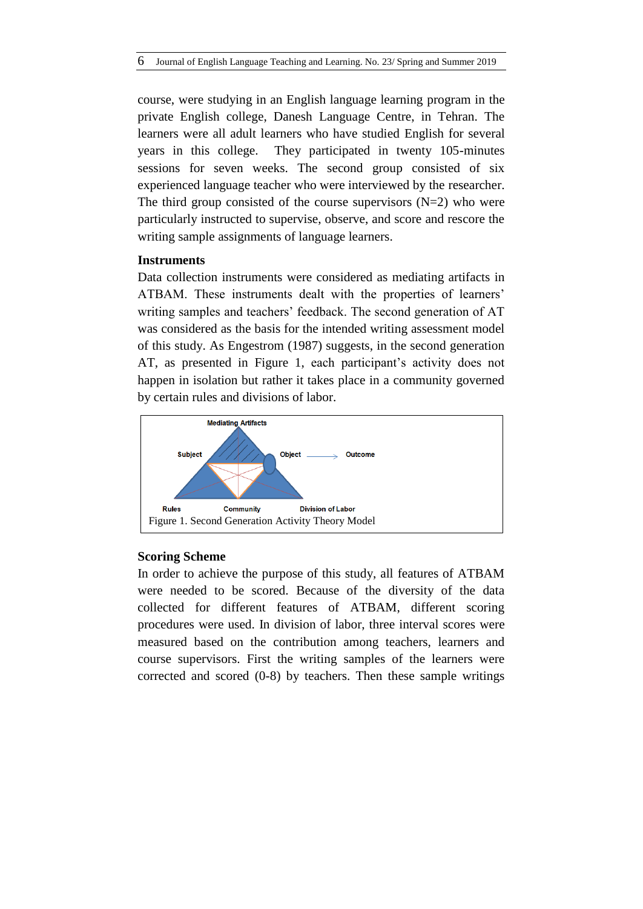course, were studying in an English language learning program in the private English college, Danesh Language Centre, in Tehran. The learners were all adult learners who have studied English for several years in this college. They participated in twenty 105-minutes sessions for seven weeks. The second group consisted of six experienced language teacher who were interviewed by the researcher. The third group consisted of the course supervisors  $(N=2)$  who were particularly instructed to supervise, observe, and score and rescore the writing sample assignments of language learners.

#### **Instruments**

Data collection instruments were considered as mediating artifacts in ATBAM. These instruments dealt with the properties of learners' writing samples and teachers' feedback. The second generation of AT was considered as the basis for the intended writing assessment model of this study. As Engestrom (1987) suggests, in the second generation AT, as presented in Figure 1, each participant's activity does not happen in isolation but rather it takes place in a community governed by certain rules and divisions of labor.



#### **Scoring Scheme**

In order to achieve the purpose of this study, all features of ATBAM were needed to be scored. Because of the diversity of the data collected for different features of ATBAM, different scoring procedures were used. In division of labor, three interval scores were measured based on the contribution among teachers, learners and course supervisors. First the writing samples of the learners were corrected and scored (0-8) by teachers. Then these sample writings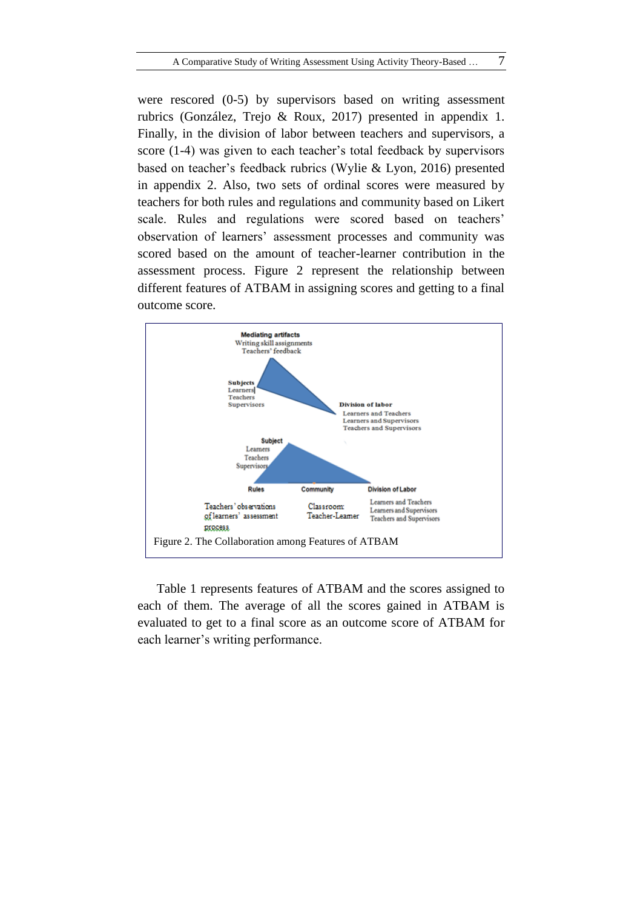were rescored  $(0-5)$  by supervisors based on writing assessment rubrics (González, Trejo & Roux, 2017) presented in appendix 1. Finally, in the division of labor between teachers and supervisors, a score (1-4) was given to each teacher's total feedback by supervisors based on teacher's feedback rubrics (Wylie & Lyon, 2016) presented in appendix 2. Also, two sets of ordinal scores were measured by teachers for both rules and regulations and community based on Likert scale. Rules and regulations were scored based on teachers' observation of learners' assessment processes and community was scored based on the amount of teacher-learner contribution in the assessment process. Figure 2 represent the relationship between different features of ATBAM in assigning scores and getting to a final outcome score.



Table 1 represents features of ATBAM and the scores assigned to each of them. The average of all the scores gained in ATBAM is evaluated to get to a final score as an outcome score of ATBAM for each learner's writing performance.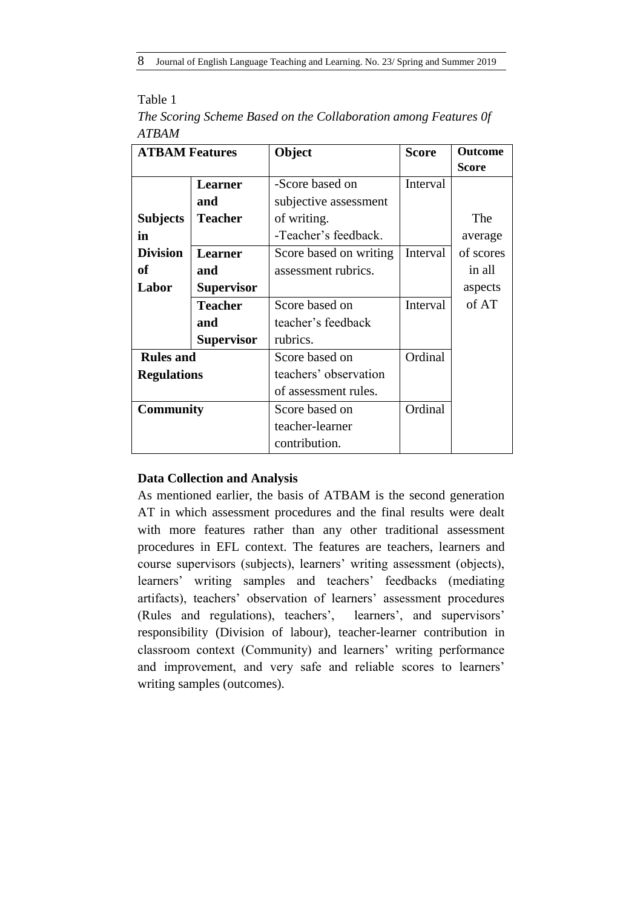## Table 1

|       |  | The Scoring Scheme Based on the Collaboration among Features Of |  |  |
|-------|--|-----------------------------------------------------------------|--|--|
| ATBAM |  |                                                                 |  |  |

| <b>ATBAM Features</b> |                   | Object                 | <b>Score</b> | <b>Outcome</b> |
|-----------------------|-------------------|------------------------|--------------|----------------|
|                       |                   |                        |              | <b>Score</b>   |
|                       | <b>Learner</b>    | -Score based on        | Interval     |                |
|                       | and               | subjective assessment  |              |                |
| <b>Subjects</b>       | <b>Teacher</b>    | of writing.            |              | The            |
| in                    |                   | -Teacher's feedback.   |              | average        |
| <b>Division</b>       | <b>Learner</b>    | Score based on writing | Interval     | of scores      |
| оf                    | and               | assessment rubrics.    |              | in all         |
| Labor                 | <b>Supervisor</b> |                        |              | aspects        |
|                       | <b>Teacher</b>    | Score based on         | Interval     | of AT          |
|                       | and               | teacher's feedback     |              |                |
|                       | <b>Supervisor</b> | rubrics.               |              |                |
| <b>Rules and</b>      |                   | Score based on         | Ordinal      |                |
| <b>Regulations</b>    |                   | teachers' observation  |              |                |
|                       |                   | of assessment rules.   |              |                |
| <b>Community</b>      |                   | Score based on         | Ordinal      |                |
|                       |                   | teacher-learner        |              |                |
|                       |                   | contribution.          |              |                |

## **Data Collection and Analysis**

As mentioned earlier, the basis of ATBAM is the second generation AT in which assessment procedures and the final results were dealt with more features rather than any other traditional assessment procedures in EFL context. The features are teachers, learners and course supervisors (subjects), learners' writing assessment (objects), learners' writing samples and teachers' feedbacks (mediating artifacts), teachers' observation of learners' assessment procedures (Rules and regulations), teachers', learners', and supervisors' responsibility (Division of labour), teacher-learner contribution in classroom context (Community) and learners' writing performance and improvement, and very safe and reliable scores to learners' writing samples (outcomes).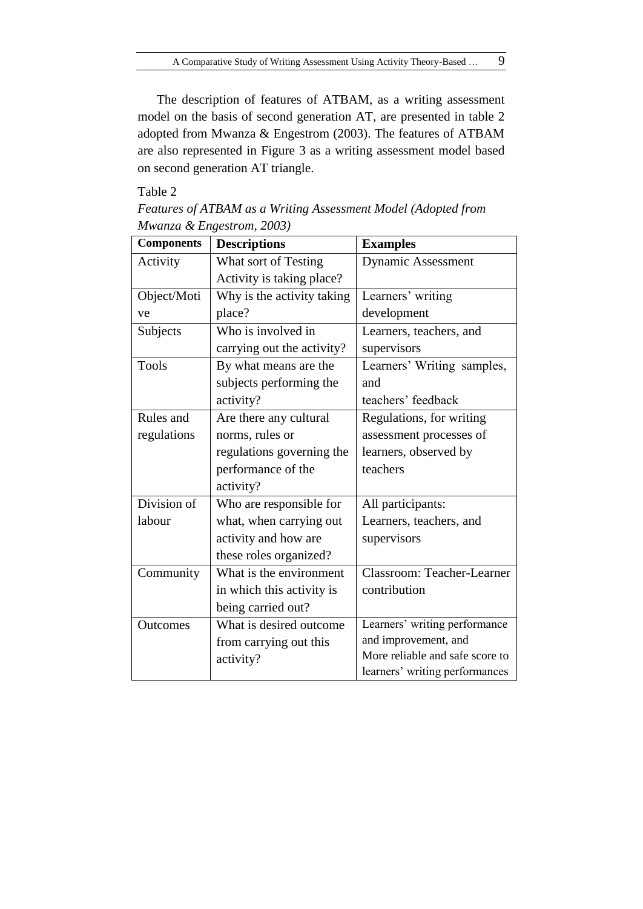The description of features of ATBAM, as a writing assessment model on the basis of second generation AT, are presented in table 2 adopted from Mwanza & Engestrom (2003). The features of ATBAM are also represented in Figure 3 as a writing assessment model based on second generation AT triangle.

#### Table 2

| <b>Components</b> | <b>Descriptions</b>        | <b>Examples</b>                 |
|-------------------|----------------------------|---------------------------------|
| Activity          | What sort of Testing       | <b>Dynamic Assessment</b>       |
|                   | Activity is taking place?  |                                 |
| Object/Moti       | Why is the activity taking | Learners' writing               |
| ve                | place?                     | development                     |
| Subjects          | Who is involved in         | Learners, teachers, and         |
|                   | carrying out the activity? | supervisors                     |
| <b>Tools</b>      | By what means are the      | Learners' Writing samples,      |
|                   | subjects performing the    | and                             |
|                   | activity?                  | teachers' feedback              |
| Rules and         | Are there any cultural     | Regulations, for writing        |
| regulations       | norms, rules or            | assessment processes of         |
|                   | regulations governing the  | learners, observed by           |
|                   | performance of the         | teachers                        |
|                   | activity?                  |                                 |
| Division of       | Who are responsible for    | All participants:               |
| labour            | what, when carrying out    | Learners, teachers, and         |
|                   | activity and how are       | supervisors                     |
|                   | these roles organized?     |                                 |
| Community         | What is the environment    | Classroom: Teacher-Learner      |
|                   | in which this activity is  | contribution                    |
|                   | being carried out?         |                                 |
| Outcomes          | What is desired outcome    | Learners' writing performance   |
|                   | from carrying out this     | and improvement, and            |
|                   | activity?                  | More reliable and safe score to |
|                   |                            | learners' writing performances  |

*Features of ATBAM as a Writing Assessment Model (Adopted from Mwanza & Engestrom, 2003)*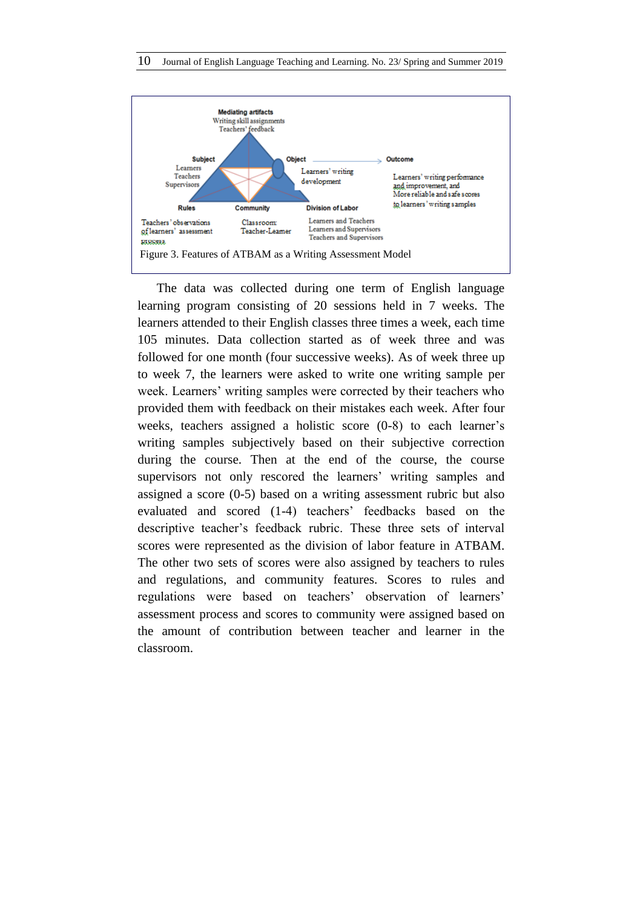

The data was collected during one term of English language learning program consisting of 20 sessions held in 7 weeks. The learners attended to their English classes three times a week, each time 105 minutes. Data collection started as of week three and was followed for one month (four successive weeks). As of week three up to week 7, the learners were asked to write one writing sample per week. Learners' writing samples were corrected by their teachers who provided them with feedback on their mistakes each week. After four weeks, teachers assigned a holistic score (0-8) to each learner's writing samples subjectively based on their subjective correction during the course. Then at the end of the course, the course supervisors not only rescored the learners' writing samples and assigned a score (0-5) based on a writing assessment rubric but also evaluated and scored (1-4) teachers' feedbacks based on the descriptive teacher's feedback rubric. These three sets of interval scores were represented as the division of labor feature in ATBAM. The other two sets of scores were also assigned by teachers to rules and regulations, and community features. Scores to rules and regulations were based on teachers' observation of learners' assessment process and scores to community were assigned based on the amount of contribution between teacher and learner in the classroom.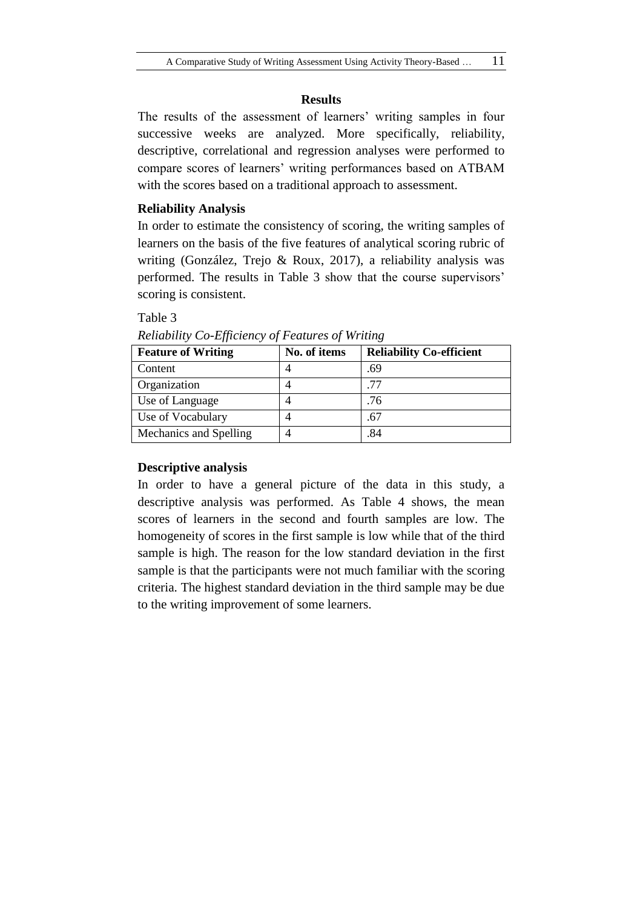#### **Results**

The results of the assessment of learners' writing samples in four successive weeks are analyzed. More specifically, reliability, descriptive, correlational and regression analyses were performed to compare scores of learners' writing performances based on ATBAM with the scores based on a traditional approach to assessment.

## **Reliability Analysis**

In order to estimate the consistency of scoring, the writing samples of learners on the basis of the five features of analytical scoring rubric of writing (González, Trejo & Roux, 2017), a reliability analysis was performed. The results in Table 3 show that the course supervisors' scoring is consistent.

#### Table 3

| <b>Feature of Writing</b> | No. of items | <b>Reliability Co-efficient</b> |
|---------------------------|--------------|---------------------------------|
| Content                   |              | .69                             |
| Organization              |              | 77                              |
| Use of Language           |              | .76                             |
| Use of Vocabulary         |              | .67                             |
| Mechanics and Spelling    |              | .84                             |

*Reliability Co-Efficiency of Features of Writing*

## **Descriptive analysis**

In order to have a general picture of the data in this study, a descriptive analysis was performed. As Table 4 shows, the mean scores of learners in the second and fourth samples are low. The homogeneity of scores in the first sample is low while that of the third sample is high. The reason for the low standard deviation in the first sample is that the participants were not much familiar with the scoring criteria. The highest standard deviation in the third sample may be due to the writing improvement of some learners.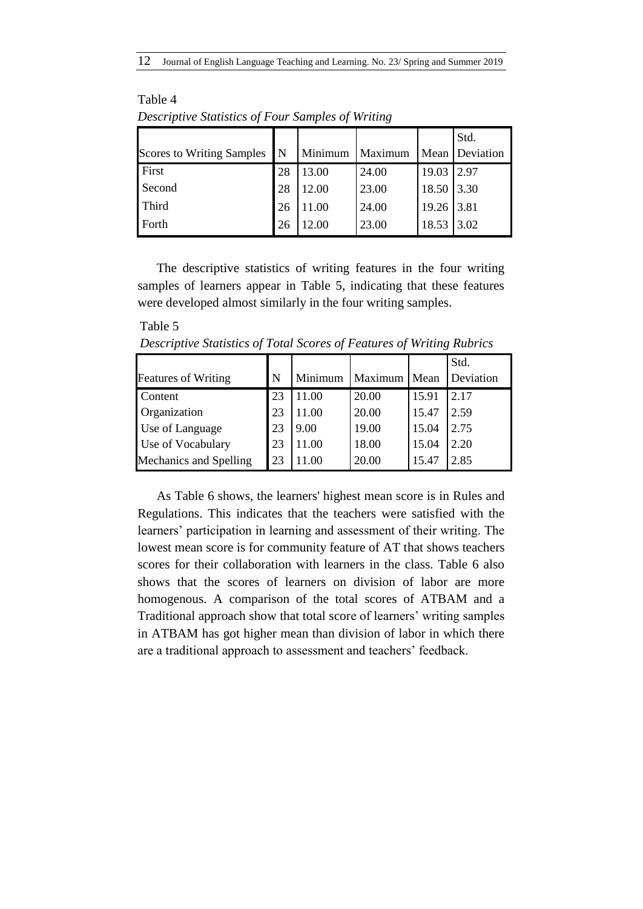| <b>Scores to Writing Samples</b> | $\mathsf{N}$ | Minimum | Maximum |              | Std.<br>Mean Deviation |
|----------------------------------|--------------|---------|---------|--------------|------------------------|
| First                            | 28           | 13.00   | 24.00   | 19.03        | 2.97                   |
| Second                           | 28           | 12.00   | 23.00   | 18.50        | 3.30                   |
| Third                            | 26           | 11.00   | 24.00   | $19.26$ 3.81 |                        |
| Forth                            | 26           | 12.00   | 23.00   | 18.53        | 3.02                   |

Table 4 *Descriptive Statistics of Four Samples of Writing*

Table 5

The descriptive statistics of writing features in the four writing samples of learners appear in Table 5, indicating that these features were developed almost similarly in the four writing samples.

*Descriptive Statistics of Total Scores of Features of Writing Rubrics*

|                            |    |         |         |       | Std.      |
|----------------------------|----|---------|---------|-------|-----------|
| <b>Features of Writing</b> | N  | Minimum | Maximum | Mean  | Deviation |
| Content                    | 23 | 11.00   | 20.00   | 15.91 | 2.17      |
| Organization               | 23 | 11.00   | 20.00   | 15.47 | 2.59      |
| Use of Language            | 23 | 9.00    | 19.00   | 15.04 | 2.75      |
| Use of Vocabulary          | 23 | 11.00   | 18.00   | 15.04 | 2.20      |
| Mechanics and Spelling     | 23 | .00     | 20.00   | 15.47 | 2.85      |

As Table 6 shows, the learners' highest mean score is in Rules and Regulations. This indicates that the teachers were satisfied with the learners' participation in learning and assessment of their writing. The lowest mean score is for community feature of AT that shows teachers scores for their collaboration with learners in the class. Table 6 also shows that the scores of learners on division of labor are more homogenous. A comparison of the total scores of ATBAM and a Traditional approach show that total score of learners' writing samples in ATBAM has got higher mean than division of labor in which there are a traditional approach to assessment and teachers' feedback.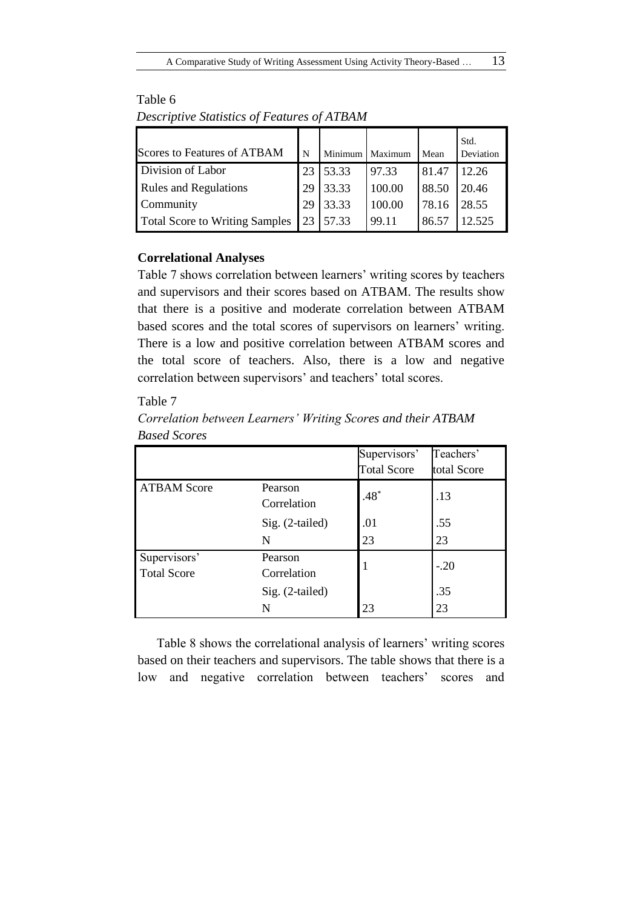| <b>Scores to Features of ATBAM</b>    | N  |       | Minimum   Maximum | Mean  | Std.<br>Deviation |
|---------------------------------------|----|-------|-------------------|-------|-------------------|
| Division of Labor                     | 23 | 53.33 | 97.33             | 81.47 | 12.26             |
| <b>Rules and Regulations</b>          | 29 | 33.33 | 100.00            | 88.50 | 20.46             |
| Community                             | 29 | 33.33 | 100.00            | 78.16 | 28.55             |
| <b>Total Score to Writing Samples</b> | 23 | 57.33 | 99.11             | 86.57 | 12.525            |

Table 6 *Descriptive Statistics of Features of ATBAM*

## **Correlational Analyses**

Table 7 shows correlation between learners' writing scores by teachers and supervisors and their scores based on ATBAM. The results show that there is a positive and moderate correlation between ATBAM based scores and the total scores of supervisors on learners' writing. There is a low and positive correlation between ATBAM scores and the total score of teachers. Also, there is a low and negative correlation between supervisors' and teachers' total scores.

## Table 7

*Correlation between Learners' Writing Scores and their ATBAM Based Scores*

|                                    |                        | Supervisors'<br><b>Total Score</b> | Teachers'<br>total Score |
|------------------------------------|------------------------|------------------------------------|--------------------------|
| <b>ATBAM Score</b>                 | Pearson<br>Correlation | $.48*$                             | .13                      |
|                                    | Sig. (2-tailed)        | .01                                | .55                      |
|                                    | N                      | 23                                 | 23                       |
| Supervisors'<br><b>Total Score</b> | Pearson<br>Correlation | -1                                 | $-.20$                   |
|                                    | Sig. (2-tailed)<br>N   | 23                                 | .35<br>23                |

Table 8 shows the correlational analysis of learners' writing scores based on their teachers and supervisors. The table shows that there is a low and negative correlation between teachers' scores and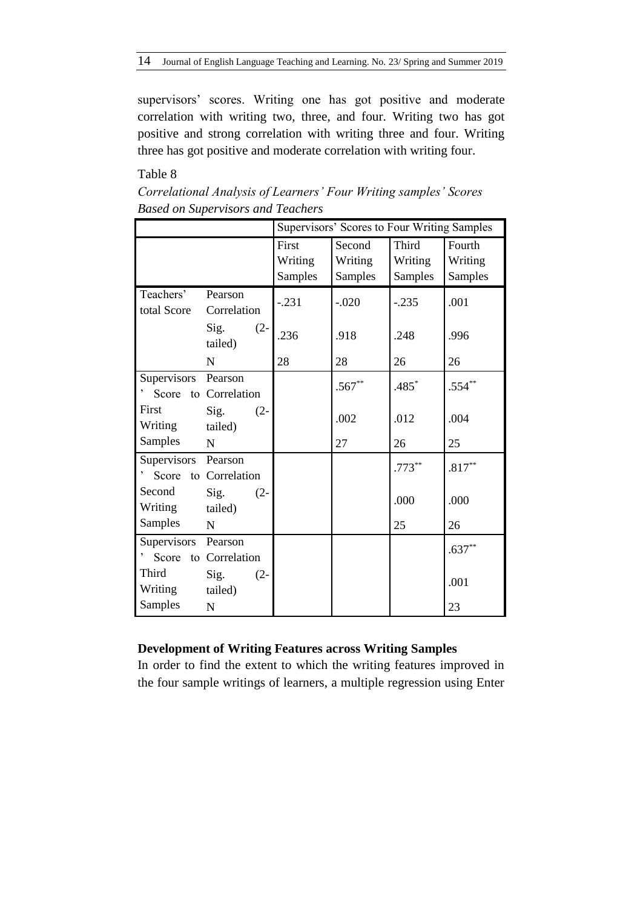supervisors' scores. Writing one has got positive and moderate correlation with writing two, three, and four. Writing two has got positive and strong correlation with writing three and four. Writing three has got positive and moderate correlation with writing four.

## Table 8

|                     |                           | Supervisors' Scores to Four Writing Samples |                |                |           |  |  |
|---------------------|---------------------------|---------------------------------------------|----------------|----------------|-----------|--|--|
|                     |                           | First                                       | Second         | Third          | Fourth    |  |  |
|                     |                           | Writing                                     | Writing        | Writing        | Writing   |  |  |
|                     |                           | <b>Samples</b>                              | <b>Samples</b> | <b>Samples</b> | Samples   |  |  |
| Teachers'           | Pearson                   | $-.231$                                     | $-.020$        | $-.235$        | .001      |  |  |
| total Score         | Correlation               |                                             |                |                |           |  |  |
|                     | Sig.<br>$(2 -$<br>tailed) | .236                                        | .918           | .248           | .996      |  |  |
|                     | N                         | 28                                          | 28             | 26             | 26        |  |  |
| Supervisors         | Pearson                   |                                             | $.567**$       | .485*          | $.554***$ |  |  |
| Score               | to Correlation            |                                             |                |                |           |  |  |
| First               | Sig.<br>$(2 -$            |                                             | .002           | .012           | .004      |  |  |
| Writing             | tailed)                   |                                             |                |                |           |  |  |
| <b>Samples</b>      | N                         |                                             | 27             | 26             | 25        |  |  |
| Supervisors         | Pearson                   |                                             |                | $.773***$      | $.817**$  |  |  |
| Score               | to Correlation            |                                             |                |                |           |  |  |
| Second              | Sig.<br>$(2 -$            |                                             |                | .000           | .000      |  |  |
| Writing             | tailed)                   |                                             |                |                |           |  |  |
| Samples             | N                         |                                             |                | 25             | 26        |  |  |
| Supervisors Pearson |                           |                                             |                |                | $.637**$  |  |  |
| Score               | to Correlation            |                                             |                |                |           |  |  |
| Third               | Sig.<br>$(2 -$            |                                             |                |                | .001      |  |  |
| Writing             | tailed)                   |                                             |                |                |           |  |  |
| Samples             | $\mathbf N$               |                                             |                |                | 23        |  |  |

*Correlational Analysis of Learners' Four Writing samples' Scores Based on Supervisors and Teachers*

## **Development of Writing Features across Writing Samples**

In order to find the extent to which the writing features improved in the four sample writings of learners, a multiple regression using Enter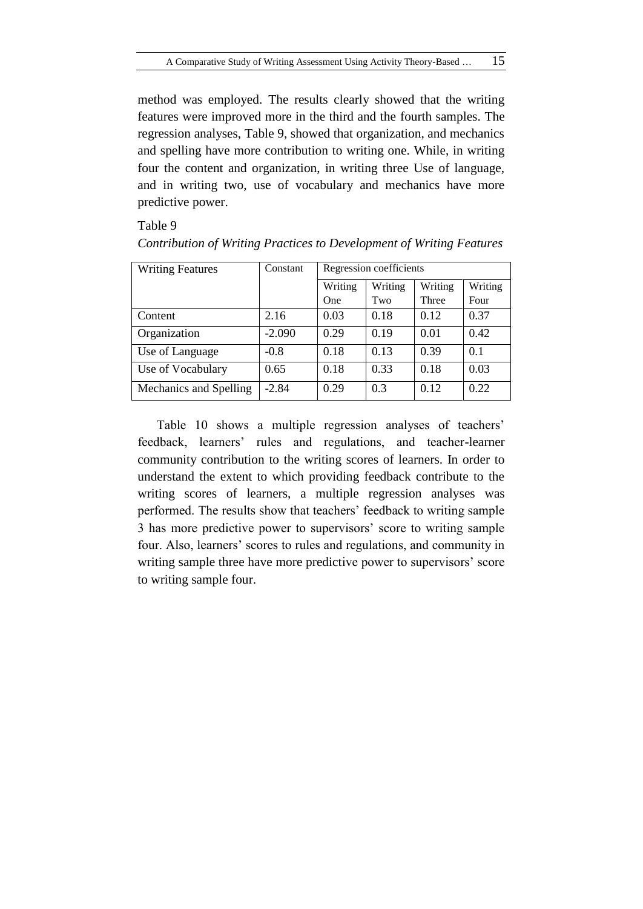method was employed. The results clearly showed that the writing features were improved more in the third and the fourth samples. The regression analyses, Table 9, showed that organization, and mechanics and spelling have more contribution to writing one. While, in writing four the content and organization, in writing three Use of language, and in writing two, use of vocabulary and mechanics have more predictive power.

Table 9

| <b>Writing Features</b> | Constant | Regression coefficients |         |         |         |  |
|-------------------------|----------|-------------------------|---------|---------|---------|--|
|                         |          | Writing                 | Writing | Writing | Writing |  |
|                         |          | <b>One</b>              | Two     | Three   | Four    |  |
| Content                 | 2.16     | 0.03                    | 0.18    | 0.12    | 0.37    |  |
| Organization            | $-2.090$ | 0.29                    | 0.19    | 0.01    | 0.42    |  |
| Use of Language         | $-0.8$   | 0.18                    | 0.13    | 0.39    | 0.1     |  |
| Use of Vocabulary       | 0.65     | 0.18                    | 0.33    | 0.18    | 0.03    |  |
| Mechanics and Spelling  | $-2.84$  | 0.29                    | 0.3     | 0.12    | 0.22    |  |

*Contribution of Writing Practices to Development of Writing Features*

Table 10 shows a multiple regression analyses of teachers' feedback, learners' rules and regulations, and teacher-learner community contribution to the writing scores of learners. In order to understand the extent to which providing feedback contribute to the writing scores of learners, a multiple regression analyses was performed. The results show that teachers' feedback to writing sample 3 has more predictive power to supervisors' score to writing sample four. Also, learners' scores to rules and regulations, and community in writing sample three have more predictive power to supervisors' score to writing sample four.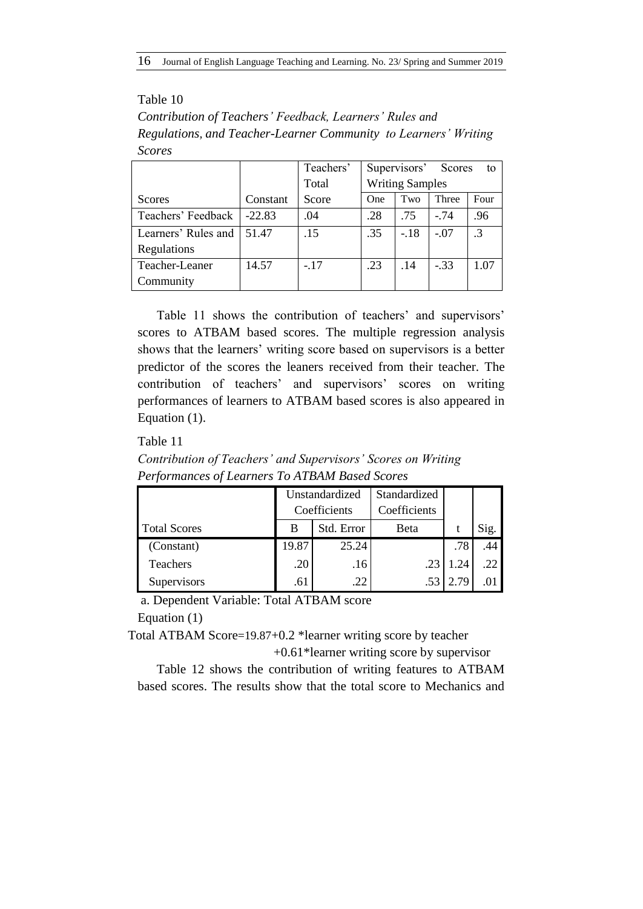## Table 10

*Contribution of Teachers' Feedback, Learners' Rules and Regulations, and Teacher-Learner Community to Learners' Writing Scores*

|                     |          | Teachers' | Supervisors' Scores |                        |        | to        |
|---------------------|----------|-----------|---------------------|------------------------|--------|-----------|
|                     |          | Total     |                     | <b>Writing Samples</b> |        |           |
| Scores              | Constant | Score     | One                 | Two                    | Three  | Four      |
| Teachers' Feedback  | $-22.83$ | .04       | .28                 | .75                    | $-74$  | .96       |
| Learners' Rules and | 51.47    | .15       | .35                 | $-.18$                 | $-.07$ | $\cdot$ 3 |
| Regulations         |          |           |                     |                        |        |           |
| Teacher-Leaner      | 14.57    | $-.17$    | .23                 | .14                    | $-.33$ | 1.07      |
| Community           |          |           |                     |                        |        |           |

Table 11 shows the contribution of teachers' and supervisors' scores to ATBAM based scores. The multiple regression analysis shows that the learners' writing score based on supervisors is a better predictor of the scores the leaners received from their teacher. The contribution of teachers' and supervisors' scores on writing performances of learners to ATBAM based scores is also appeared in Equation (1).

## Table 11

*Contribution of Teachers' and Supervisors' Scores on Writing Performances of Learners To ATBAM Based Scores*

|                     | Unstandardized  |       | Standardized |      |      |
|---------------------|-----------------|-------|--------------|------|------|
|                     | Coefficients    |       | Coefficients |      |      |
| <b>Total Scores</b> | Std. Error<br>В |       | Beta         |      | Sig. |
| (Constant)          | 19.87           | 25.24 |              | .78  | .44  |
| Teachers            | .20             | .16   | 23           | .24  | .22  |
| Supervisors         | .61             | .22   |              | 2.79 |      |

a. Dependent Variable: Total ATBAM score

Equation (1)

Total ATBAM Score=19.87+0.2 \*learner writing score by teacher

+0.61\*learner writing score by supervisor

Table 12 shows the contribution of writing features to ATBAM based scores. The results show that the total score to Mechanics and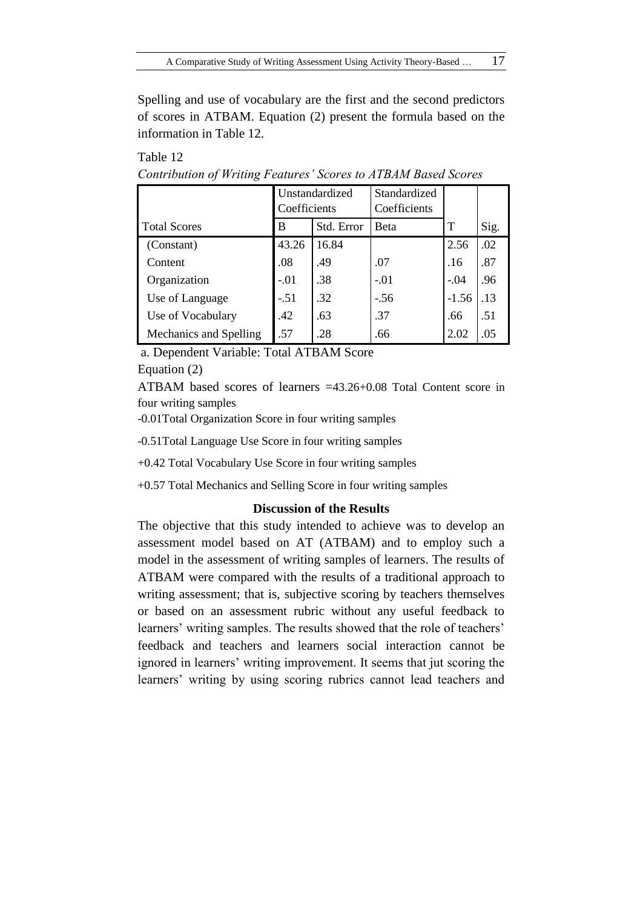Spelling and use of vocabulary are the first and the second predictors of scores in ATBAM. Equation (2) present the formula based on the information in Table 12.

|                        | Unstandardized<br>Coefficients |            | Standardized<br>Coefficients |         |      |
|------------------------|--------------------------------|------------|------------------------------|---------|------|
| <b>Total Scores</b>    | В                              | Std. Error | <b>Beta</b>                  | Т       | Sig. |
| (Constant)             | 43.26                          | 16.84      |                              | 2.56    | .02  |
| Content                | .08                            | .49        | .07                          | .16     | .87  |
| Organization           | $-.01$                         | -38        | $-.01$                       | $-.04$  | .96  |
| Use of Language        | $-.51$                         | .32        | $-.56$                       | $-1.56$ | .13  |
| Use of Vocabulary      | .42                            | .63        | .37                          | .66     | .51  |
| Mechanics and Spelling | .57                            | .28        | .66                          | 2.02    | .05  |

*Contribution of Writing Features' Scores to ATBAM Based Scores*

a. Dependent Variable: Total ATBAM Score

Equation (2)

Table 12

ATBAM based scores of learners =43.26+0.08 Total Content score in four writing samples

-0.01Total Organization Score in four writing samples

-0.51Total Language Use Score in four writing samples

+0.42 Total Vocabulary Use Score in four writing samples

+0.57 Total Mechanics and Selling Score in four writing samples

#### **Discussion of the Results**

The objective that this study intended to achieve was to develop an assessment model based on AT (ATBAM) and to employ such a model in the assessment of writing samples of learners. The results of ATBAM were compared with the results of a traditional approach to writing assessment; that is, subjective scoring by teachers themselves or based on an assessment rubric without any useful feedback to learners' writing samples. The results showed that the role of teachers' feedback and teachers and learners social interaction cannot be ignored in learners' writing improvement. It seems that jut scoring the learners' writing by using scoring rubrics cannot lead teachers and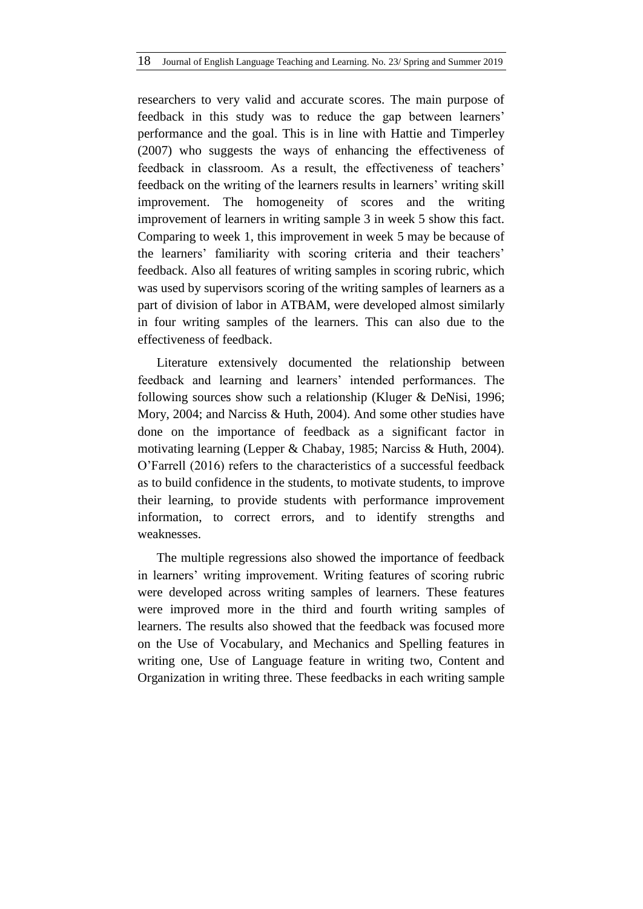researchers to very valid and accurate scores. The main purpose of feedback in this study was to reduce the gap between learners' performance and the goal. This is in line with Hattie and Timperley (2007) who suggests the ways of enhancing the effectiveness of feedback in classroom. As a result, the effectiveness of teachers' feedback on the writing of the learners results in learners' writing skill improvement. The homogeneity of scores and the writing improvement of learners in writing sample 3 in week 5 show this fact. Comparing to week 1, this improvement in week 5 may be because of the learners' familiarity with scoring criteria and their teachers' feedback. Also all features of writing samples in scoring rubric, which was used by supervisors scoring of the writing samples of learners as a part of division of labor in ATBAM, were developed almost similarly in four writing samples of the learners. This can also due to the effectiveness of feedback.

Literature extensively documented the relationship between feedback and learning and learners' intended performances. The following sources show such a relationship (Kluger & DeNisi, 1996; Mory, 2004; and Narciss & Huth, 2004). And some other studies have done on the importance of feedback as a significant factor in motivating learning (Lepper & Chabay, 1985; Narciss & Huth, 2004). O'Farrell (2016) refers to the characteristics of a successful feedback as to build confidence in the students, to motivate students, to improve their learning, to provide students with performance improvement information, to correct errors, and to identify strengths and weaknesses.

The multiple regressions also showed the importance of feedback in learners' writing improvement. Writing features of scoring rubric were developed across writing samples of learners. These features were improved more in the third and fourth writing samples of learners. The results also showed that the feedback was focused more on the Use of Vocabulary, and Mechanics and Spelling features in writing one, Use of Language feature in writing two, Content and Organization in writing three. These feedbacks in each writing sample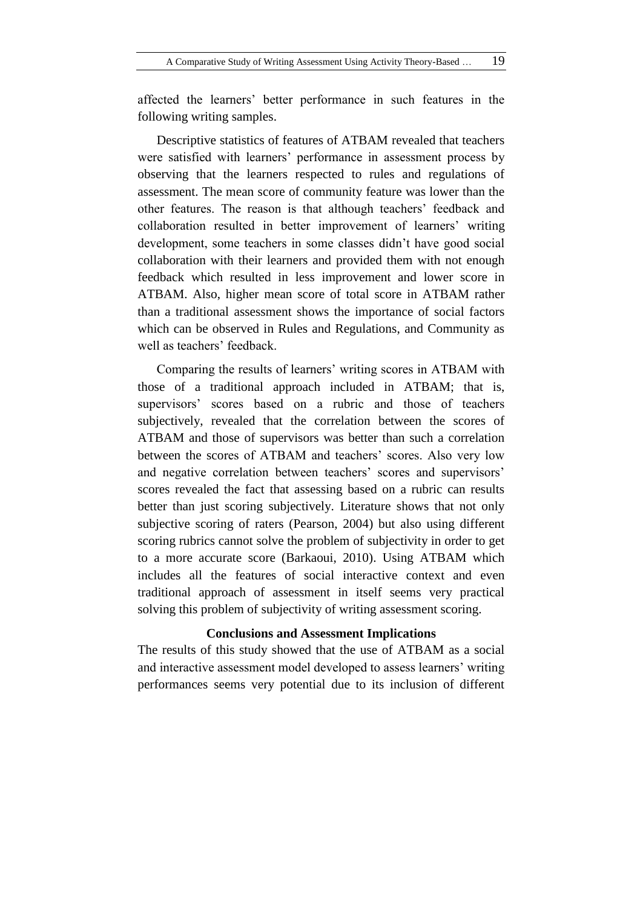affected the learners' better performance in such features in the following writing samples.

Descriptive statistics of features of ATBAM revealed that teachers were satisfied with learners' performance in assessment process by observing that the learners respected to rules and regulations of assessment. The mean score of community feature was lower than the other features. The reason is that although teachers' feedback and collaboration resulted in better improvement of learners' writing development, some teachers in some classes didn't have good social collaboration with their learners and provided them with not enough feedback which resulted in less improvement and lower score in ATBAM. Also, higher mean score of total score in ATBAM rather than a traditional assessment shows the importance of social factors which can be observed in Rules and Regulations, and Community as well as teachers' feedback.

Comparing the results of learners' writing scores in ATBAM with those of a traditional approach included in ATBAM; that is, supervisors' scores based on a rubric and those of teachers subjectively, revealed that the correlation between the scores of ATBAM and those of supervisors was better than such a correlation between the scores of ATBAM and teachers' scores. Also very low and negative correlation between teachers' scores and supervisors' scores revealed the fact that assessing based on a rubric can results better than just scoring subjectively. Literature shows that not only subjective scoring of raters (Pearson, 2004) but also using different scoring rubrics cannot solve the problem of subjectivity in order to get to a more accurate score (Barkaoui, 2010). Using ATBAM which includes all the features of social interactive context and even traditional approach of assessment in itself seems very practical solving this problem of subjectivity of writing assessment scoring.

## **Conclusions and Assessment Implications**

The results of this study showed that the use of ATBAM as a social and interactive assessment model developed to assess learners' writing performances seems very potential due to its inclusion of different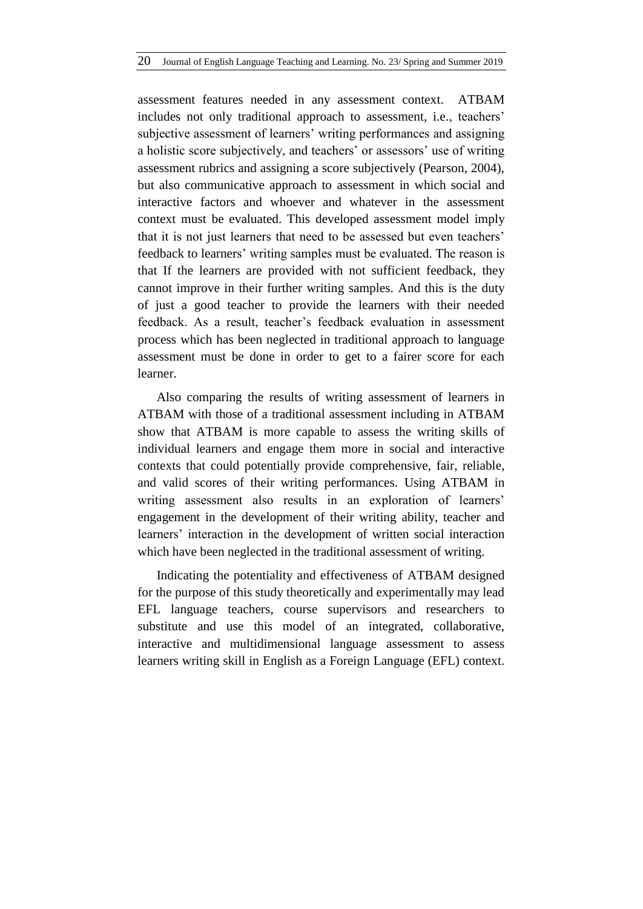assessment features needed in any assessment context. ATBAM includes not only traditional approach to assessment, i.e., teachers' subjective assessment of learners' writing performances and assigning a holistic score subjectively, and teachers' or assessors' use of writing assessment rubrics and assigning a score subjectively (Pearson, 2004), but also communicative approach to assessment in which social and interactive factors and whoever and whatever in the assessment context must be evaluated. This developed assessment model imply that it is not just learners that need to be assessed but even teachers' feedback to learners' writing samples must be evaluated. The reason is that If the learners are provided with not sufficient feedback, they cannot improve in their further writing samples. And this is the duty of just a good teacher to provide the learners with their needed feedback. As a result, teacher's feedback evaluation in assessment process which has been neglected in traditional approach to language assessment must be done in order to get to a fairer score for each learner.

Also comparing the results of writing assessment of learners in ATBAM with those of a traditional assessment including in ATBAM show that ATBAM is more capable to assess the writing skills of individual learners and engage them more in social and interactive contexts that could potentially provide comprehensive, fair, reliable, and valid scores of their writing performances. Using ATBAM in writing assessment also results in an exploration of learners' engagement in the development of their writing ability, teacher and learners' interaction in the development of written social interaction which have been neglected in the traditional assessment of writing.

Indicating the potentiality and effectiveness of ATBAM designed for the purpose of this study theoretically and experimentally may lead EFL language teachers, course supervisors and researchers to substitute and use this model of an integrated, collaborative, interactive and multidimensional language assessment to assess learners writing skill in English as a Foreign Language (EFL) context.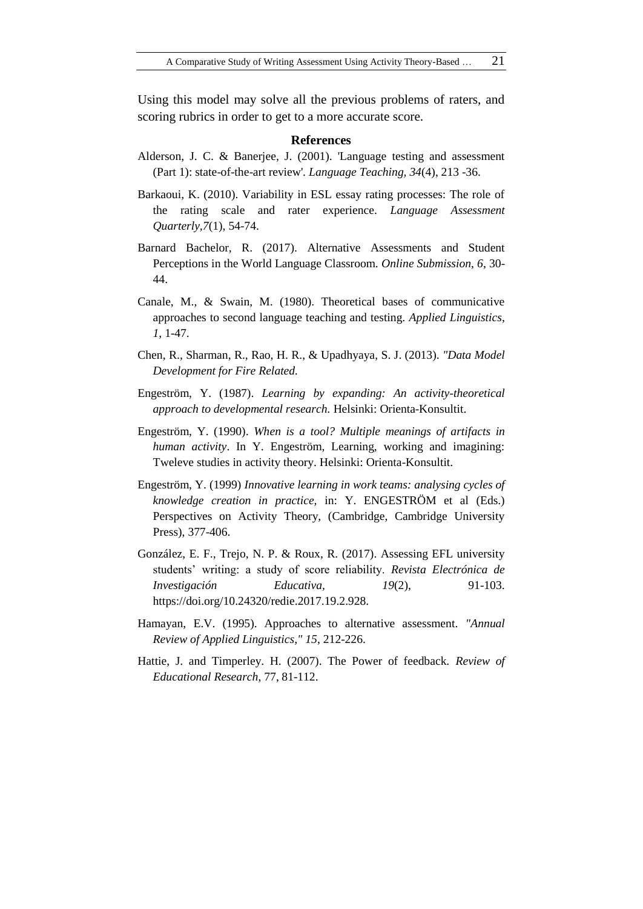Using this model may solve all the previous problems of raters, and scoring rubrics in order to get to a more accurate score.

#### **References**

- Alderson, J. C. & Banerjee, J. (2001). 'Language testing and assessment (Part 1): state-of-the-art review'. *Language Teaching, 34*(4), 213 -36.
- Barkaoui, K. (2010). Variability in ESL essay rating processes: The role of the rating scale and rater experience. *Language Assessment Quarterly,7*(1), 54-74.
- Barnard Bachelor, R. (2017). Alternative Assessments and Student Perceptions in the World Language Classroom. *Online Submission*, *6*, 30- 44.
- Canale, M., & Swain, M. (1980). Theoretical bases of communicative approaches to second language teaching and testing. *Applied Linguistics*, *1*, 1-47.
- Chen, R., Sharman, R., Rao, H. R., & Upadhyaya, S. J. (2013). *"Data Model Development for Fire Related.*
- Engeström, Y. (1987). *Learning by expanding: An activity-theoretical approach to developmental research.* Helsinki: Orienta-Konsultit.
- Engeström, Y. (1990). *When is a tool? Multiple meanings of artifacts in human activity*. In Y. Engeström, Learning, working and imagining: Tweleve studies in activity theory. Helsinki: Orienta-Konsultit.
- Engeström, Y. (1999) *Innovative learning in work teams: analysing cycles of knowledge creation in practice,* in: Y. ENGESTRÖM et al (Eds.) Perspectives on Activity Theory, (Cambridge, Cambridge University Press), 377-406.
- González, E. F., Trejo, N. P. & Roux, R. (2017). Assessing EFL university students' writing: a study of score reliability. *Revista Electrónica de Investigación Educativa, 19*(2), 91-103. https://doi.org/10.24320/redie.2017.19.2.928.
- Hamayan, E.V. (1995). Approaches to alternative assessment. *"Annual Review of Applied Linguistics," 15*, 212-226.
- Hattie, J. and Timperley. H. (2007). The Power of feedback. *Review of Educational Research*, 77, 81-112.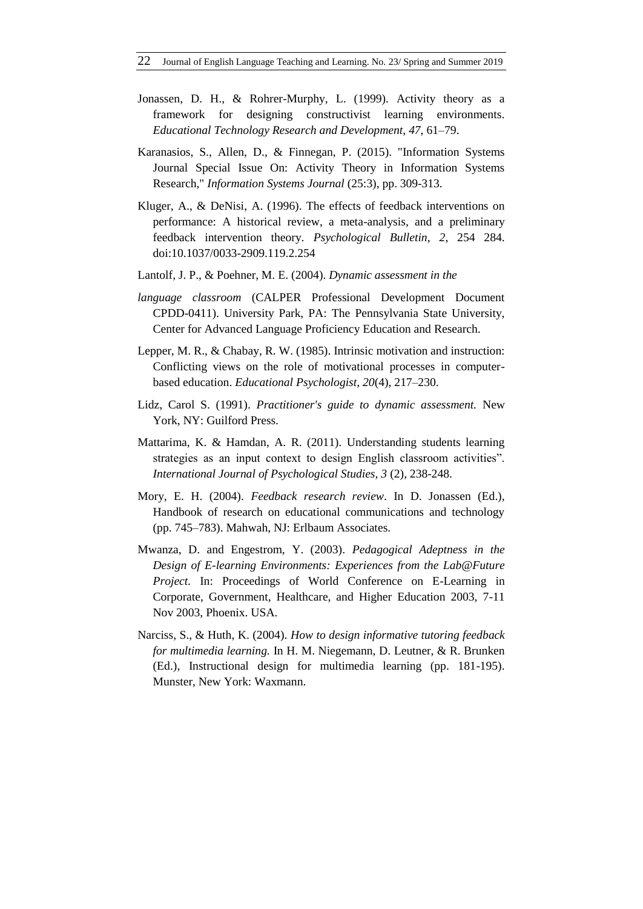- Jonassen, D. H., & Rohrer-Murphy, L. (1999). Activity theory as a framework for designing constructivist learning environments. *Educational Technology Research and Development*, *47*, 61–79.
- Karanasios, S., Allen, D., & Finnegan, P. (2015). "Information Systems Journal Special Issue On: Activity Theory in Information Systems Research," *Information Systems Journal* (25:3), pp. 309-313.
- Kluger, A., & DeNisi, A. (1996). The effects of feedback interventions on performance: A historical review, a meta-analysis, and a preliminary feedback intervention theory. *Psychological Bulletin, 2*, 254 284. doi:10.1037/0033-2909.119.2.254
- Lantolf, J. P., & Poehner, M. E. (2004). *Dynamic assessment in the*
- *language classroom* (CALPER Professional Development Document CPDD-0411). University Park, PA: The Pennsylvania State University, Center for Advanced Language Proficiency Education and Research.
- Lepper, M. R., & Chabay, R. W. (1985). Intrinsic motivation and instruction: Conflicting views on the role of motivational processes in computerbased education. *Educational Psychologist, 20*(4), 217–230.
- Lidz, Carol S. (1991). *Practitioner's guide to dynamic assessment.* New York, NY: Guilford Press.
- Mattarima, K. & Hamdan, A. R. (2011). Understanding students learning strategies as an input context to design English classroom activities". *International Journal of Psychological Studies, 3* (2), 238-248.
- Mory, E. H. (2004). *Feedback research review*. In D. Jonassen (Ed.), Handbook of research on educational communications and technology (pp. 745–783). Mahwah, NJ: Erlbaum Associates.
- Mwanza, D. and Engestrom, Y. (2003). *Pedagogical Adeptness in the Design of E-learning Environments: Experiences from the Lab@Future Project.* In: Proceedings of World Conference on E-Learning in Corporate, Government, Healthcare, and Higher Education 2003, 7-11 Nov 2003, Phoenix. USA.
- Narciss, S., & Huth, K. (2004). *How to design informative tutoring feedback for multimedia learning.* In H. M. Niegemann, D. Leutner, & R. Brunken (Ed.), Instructional design for multimedia learning (pp. 181-195). Munster, New York: Waxmann.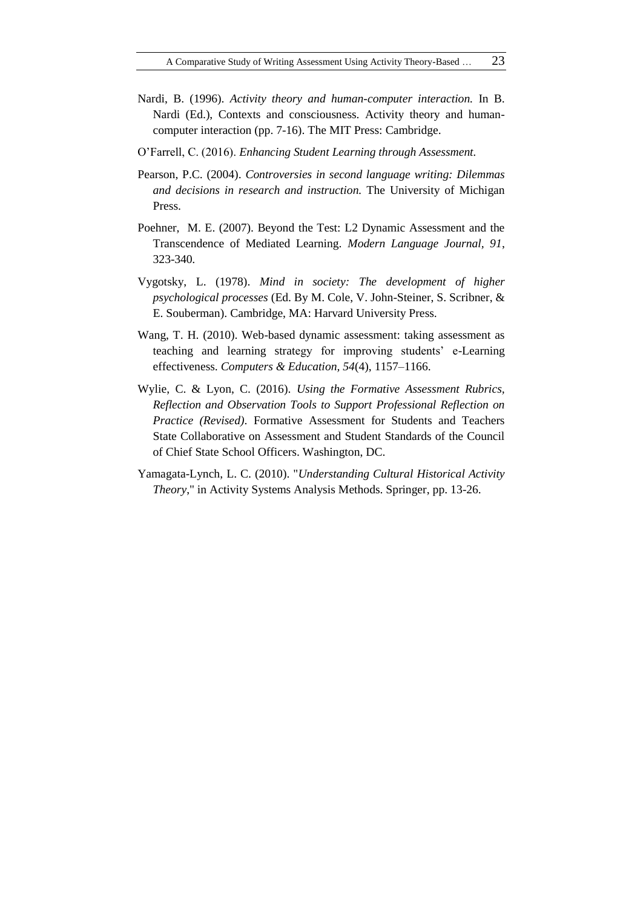- Nardi, B. (1996). *Activity theory and human-computer interaction.* In B. Nardi (Ed.), Contexts and consciousness. Activity theory and humancomputer interaction (pp. 7-16). The MIT Press: Cambridge.
- O'Farrell, C. (2016). *Enhancing Student Learning through Assessment.*
- Pearson, P.C. (2004). *Controversies in second language writing: Dilemmas and decisions in research and instruction.* The University of Michigan Press.
- Poehner, M. E. (2007). Beyond the Test: L2 Dynamic Assessment and the Transcendence of Mediated Learning. *Modern Language Journal, 91*, 323-340*.*
- Vygotsky, L. (1978). *Mind in society: The development of higher psychological processes* (Ed. By M. Cole, V. John-Steiner, S. Scribner, & E. Souberman). Cambridge, MA: Harvard University Press.
- Wang, T. H. (2010). Web-based dynamic assessment: taking assessment as teaching and learning strategy for improving students' e-Learning effectiveness. *Computers & Education, 54*(4), 1157–1166.
- Wylie, C. & Lyon, C. (2016). *Using the Formative Assessment Rubrics, Reflection and Observation Tools to Support Professional Reflection on Practice (Revised)*. Formative Assessment for Students and Teachers State Collaborative on Assessment and Student Standards of the Council of Chief State School Officers. Washington, DC.
- Yamagata-Lynch, L. C. (2010). "*Understanding Cultural Historical Activity Theory*," in Activity Systems Analysis Methods. Springer, pp. 13-26.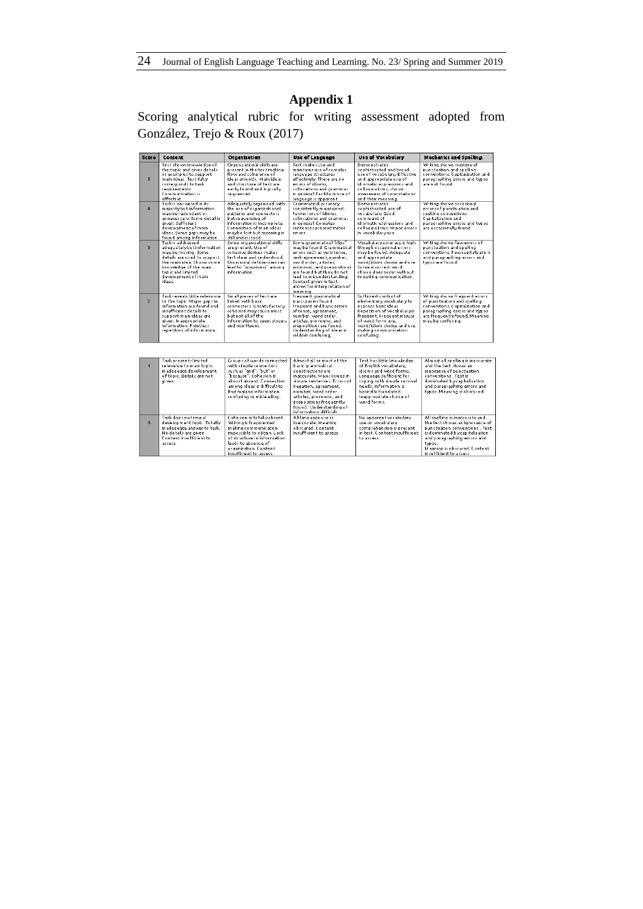# **Appendix 1**

Scoring analytical rubric for writing assessment adopted from González, Trejo & Roux (2017)

| <b>Score</b>            | Content                                                                                                                                                                                                                         | Organization                                                                                                                                                                                                        | Use of Lenguege                                                                                                                                                                                                                                                                                       | <b>Use of Vocabulary</b>                                                                                                                                                                                                       | Mechanics and Spelling.                                                                                                                                                               |
|-------------------------|---------------------------------------------------------------------------------------------------------------------------------------------------------------------------------------------------------------------------------|---------------------------------------------------------------------------------------------------------------------------------------------------------------------------------------------------------------------|-------------------------------------------------------------------------------------------------------------------------------------------------------------------------------------------------------------------------------------------------------------------------------------------------------|--------------------------------------------------------------------------------------------------------------------------------------------------------------------------------------------------------------------------------|---------------------------------------------------------------------------------------------------------------------------------------------------------------------------------------|
| $\overline{\mathbf{S}}$ | Text shows knowledge of<br>the topic and gives details.<br>or examples to support<br>main ideas. Text fully<br>corresponds to task<br>requirements.<br>Communication is<br>effective.                                           | Organizational skills are<br>present in the text making.<br>flow and coherence of<br>ideas smooth. Main ideas<br>and structure of text are<br>easily found and logically<br>sequenced.                              | Text makes use and<br>maintains use of complex<br>language structures<br>effectively. There are no<br>errors of idioms.<br>collocations and grammar.<br>in general Eacility in use of<br>language is apparent.                                                                                        | <b>Demonstrates</b><br>sophisticated and broad<br>use of vocabulary. Effective<br>and appropriate use of<br>idiomatic expressions and<br>colloquialisms: shows<br>aveareness of connotations.<br>and their meaning.            | Writing shows mastervof<br>punctuation and spelling<br>conventions. Capitalization and<br>paragraphing errors and typos.<br>are not found.                                            |
| $\overline{4}$          | Task is answered in its<br>majority but information<br>maybe redundant or<br>unnecessary, Some debail is<br>aiven, Sufficient<br>development of main.<br>ideas. Some gaps may be<br>found among information.                    | Adequately organized with<br>the use of organizational<br>patterns and connectors.<br>but sequencing of<br>information is incomplete.<br>Connection of main ideas<br>maybe lost but meaning is<br>still understood. | Grammatical accuracy<br>consistently maintained.<br>Fewerrors of idioms.<br>collocations and grammar.<br>in general Complex<br>sentences present minor<br>errors                                                                                                                                      | Demonstrates<br>sophisticated use of<br>vocabulary, Good<br>command of<br>idiomatic eroressions and<br>colloquialisms. Minor errors<br>in vocabulary use.                                                                      | Writing shows occasional<br>errors of punctuation and<br>spelling conventions.<br>Capitalization and<br>paragraphing errors and typos.<br>are occasionally found.                     |
| $\overline{3}$          | Task is addressed<br>adequatelybut information<br>maybe missing. Some<br>details are used to support.<br>the main idea. Shows some<br>knowledge of the main.<br>top ic and limited<br>development of main<br>ideas.             | Some or ganization at skills<br>are present. Use of<br>cohesive devices makes.<br>text clear and understood.<br>Occasional deficiencies can<br>lead to "iumpiness" among<br>in formation                            | Some grammatical "slips"<br>maybe found. Grammatical<br>errors such as verb tense.<br>verb agreement, number,<br>word order, articles.<br>pronouns, and prepositions.<br>are found but they do not.<br>lead to misunderstanding.<br>Context given in text<br>allows for interpretation of<br>meaning. | Vocabular v accuracy is high<br>though occasional errors<br>may be found. Adequate<br>and appropriate<br>word/idiom choice and use.<br>Some incorrect sentd.<br>choice does occur without.<br>impeding communication.          | Writing shows fewverrors of<br>punctuation and spelling<br>conventions. Few capitalization<br>and paragraphing errors and<br>typos are found.                                         |
| $\overline{2}$          | Task reveals little relevance<br>to the topic. Major gaps in<br>information are found and<br>insufficient details to<br>support main ideas are<br>given. In appropriate<br>information. Pointless<br>repetition of information. | Small pieces of text are<br>linked with hasic.<br>connectors. Unsatisfactory<br>cohesion may cause most<br>but not all of the<br>information to seem sloppy<br>and non-fluent.                                      | Frequent grammatical<br>in accuracies found.<br>Frequent and basic errors<br>of tense, agreement,<br>number, word order.<br>articles, pronouns, and<br>prepositions are found.<br>Understanding of ideas is<br>seldom confusing.                                                                      | Sufficient control of<br>elementarw vocabulary to<br>express basic ideas.<br>Repetition of vocabulary is<br>frequent. Frequent misuse<br>of word form use.<br>word/idiom choice and use.<br>making communication<br>confusing. | Writing shows frequent errors<br>of punctuation and spelling<br>conventions. Capitalization and<br>paragraphing errors and typos<br>are frequently found. Meaning<br>maybe confusing. |
|                         |                                                                                                                                                                                                                                 |                                                                                                                                                                                                                     |                                                                                                                                                                                                                                                                                                       |                                                                                                                                                                                                                                |                                                                                                                                                                                       |
| $\blacksquare$          | Task presents limited<br>relevance to main topic.<br>Inadequate development<br>oftanic Dataile wa not.                                                                                                                          | Groups of words connected<br>with simple connectors<br>such as "and". "but" or<br>"hacarea" Cohadonic                                                                                                               | Almost all or most of the<br>basic grammatical<br>constructions are<br>in securata. Maior iccune in                                                                                                                                                                                                   | Text has little knowledge<br>of English vocabulars.<br>idioms and word forms.<br>Language sufficient for                                                                                                                       | Almost all spelling is inaccurate<br>and the text shows an<br>ignorance of punctuation<br>consentions. Taxkis                                                                         |

|          | Task presents limited<br>relevance to main topic.<br>Inadequate development<br>of topic. Details are not<br>given.                               | Groups of words connected<br>with simple connectors.<br>such as "and". "but" or<br>"because". Cohesion is<br>almost absent. Connection<br>among ideas is difficult to<br>find making information.<br>confusing or misleading. | Almost all or most of the<br>basic grammatical<br>constructions are<br>inaccurate. Major issues in<br>simple sentences. Errors of<br>negation, agreement,<br>number, word order,<br>articles, pronouns, and<br>prepositions frequently<br>found. Understanding of<br>information difficult. | Text has little knowledge<br>of English vocabulars.<br>idioms and word forms.<br>Language sufficient for<br>coping with simple survival<br>needs. Information is<br>basically translated.<br>In appropriate choice of<br>word forms. | Almost all spelling is inaccurate<br>and the text shows an<br>ignorance of punctuation<br>conventions. Text is<br>dominated by capitalization<br>and paragraphing errors and<br>typos. Meaning is obscured.                              |
|----------|--------------------------------------------------------------------------------------------------------------------------------------------------|-------------------------------------------------------------------------------------------------------------------------------------------------------------------------------------------------------------------------------|---------------------------------------------------------------------------------------------------------------------------------------------------------------------------------------------------------------------------------------------------------------------------------------------|--------------------------------------------------------------------------------------------------------------------------------------------------------------------------------------------------------------------------------------|------------------------------------------------------------------------------------------------------------------------------------------------------------------------------------------------------------------------------------------|
| $\Omega$ | Task does not reveal.<br>development topic. Totally<br>inadequate answer to task.<br>No details are given.<br>Content insufficient to<br>assess. | Cohesion is totally absent.<br>Writing is fragmented<br>making communication<br>impossible to obtain. Lack<br>of structure in information<br>leads to absence of<br>organization. Content<br>insufficient to assess.          | All language use is<br>in accurate. Meaning<br>obscured. Content<br>insufficient to assess.                                                                                                                                                                                                 | No apparent vocabulary<br>use or vocabulary.<br>comprehension is present<br>in text. Content insufficient<br>to assess.                                                                                                              | All spelling is inaccurate and<br>the text shows an ignorance of<br>punctuation conventions . Text<br>is dominated by capitalization<br>and paragraphing errors and<br>typos.<br>Meaning is obscured. Content<br>insufficient to assess. |